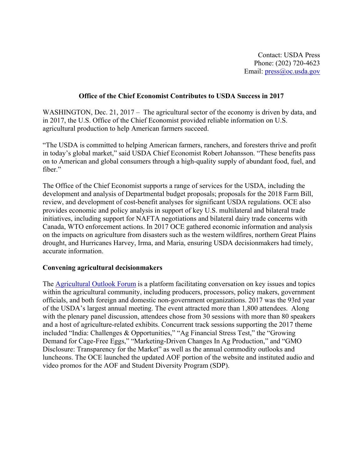### **Office of the Chief Economist Contributes to USDA Success in 2017**

WASHINGTON, Dec. 21, 2017 – The agricultural sector of the economy is driven by data, and in 2017, the U.S. Office of the Chief Economist provided reliable information on U.S. agricultural production to help American farmers succeed.

"The USDA is committed to helping American farmers, ranchers, and foresters thrive and profit in today's global market," said USDA Chief Economist Robert Johansson. "These benefits pass on to American and global consumers through a high-quality supply of abundant food, fuel, and fiber."

The Office of the Chief Economist supports a range of services for the USDA, including the development and analysis of Departmental budget proposals; proposals for the 2018 Farm Bill, review, and development of cost-benefit analyses for significant USDA regulations. OCE also provides economic and policy analysis in support of key U.S. multilateral and bilateral trade initiatives, including support for NAFTA negotiations and bilateral dairy trade concerns with Canada, WTO enforcement actions. In 2017 OCE gathered economic information and analysis on the impacts on agriculture from disasters such as the western wildfires, northern Great Plains drought, and Hurricanes Harvey, Irma, and Maria, ensuring USDA decisionmakers had timely, accurate information.

#### **Convening agricultural decisionmakers**

The Agricultural Outlook Forum is a platform facilitating conversation on key issues and topics within the agricultural community, including producers, processors, policy makers, government officials, and both foreign and domestic non-government organizations. 2017 was the 93rd year of the USDA's largest annual meeting. The event attracted more than 1,800 attendees. Along with the plenary panel discussion, attendees chose from 30 sessions with more than 80 speakers and a host of agriculture-related exhibits. Concurrent track sessions supporting the 2017 theme included "India: Challenges & Opportunities," "Ag Financial Stress Test," the "Growing Demand for Cage-Free Eggs," "Marketing-Driven Changes In Ag Production," and "GMO Disclosure: Transparency for the Market" as well as the annual commodity outlooks and luncheons. The OCE launched the updated AOF portion of the website and instituted audio and video promos for the AOF and Student Diversity Program (SDP).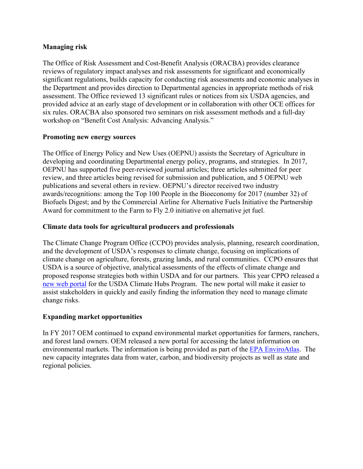### **Managing risk**

The Office of Risk Assessment and Cost-Benefit Analysis (ORACBA) provides clearance reviews of regulatory impact analyses and risk assessments for significant and economically significant regulations, builds capacity for conducting risk assessments and economic analyses in the Department and provides direction to Departmental agencies in appropriate methods of risk assessment. The Office reviewed 13 significant rules or notices from six USDA agencies, and provided advice at an early stage of development or in collaboration with other OCE offices for six rules. ORACBA also sponsored two seminars on risk assessment methods and a full-day workshop on "Benefit Cost Analysis: Advancing Analysis."

### **Promoting new energy sources**

The Office of Energy Policy and New Uses (OEPNU) assists the Secretary of Agriculture in developing and coordinating Departmental energy policy, programs, and strategies. In 2017, OEPNU has supported five peer-reviewed journal articles; three articles submitted for peer review, and three articles being revised for submission and publication, and 5 OEPNU web publications and several others in review. OEPNU's director received two industry awards/recognitions: among the Top 100 People in the Bioeconomy for 2017 (number 32) of Biofuels Digest; and by the Commercial Airline for Alternative Fuels Initiative the Partnership Award for commitment to the Farm to Fly 2.0 initiative on alternative jet fuel.

# **Climate data tools for agricultural producers and professionals**

The Climate Change Program Office (CCPO) provides analysis, planning, research coordination, and the development of USDA's responses to climate change, focusing on implications of climate change on agriculture, forests, grazing lands, and rural communities. CCPO ensures that USDA is a source of objective, analytical assessments of the effects of climate change and proposed response strategies both within USDA and for our partners. This year CPPO released a new web portal for the USDA Climate Hubs Program. The new portal will make it easier to assist stakeholders in quickly and easily finding the information they need to manage climate change risks.

# **Expanding market opportunities**

In FY 2017 OEM continued to expand environmental market opportunities for farmers, ranchers, and forest land owners. OEM released a new portal for accessing the latest information on environmental markets. The information is being provided as part of the EPA EnviroAtlas. The new capacity integrates data from water, carbon, and biodiversity projects as well as state and regional policies.